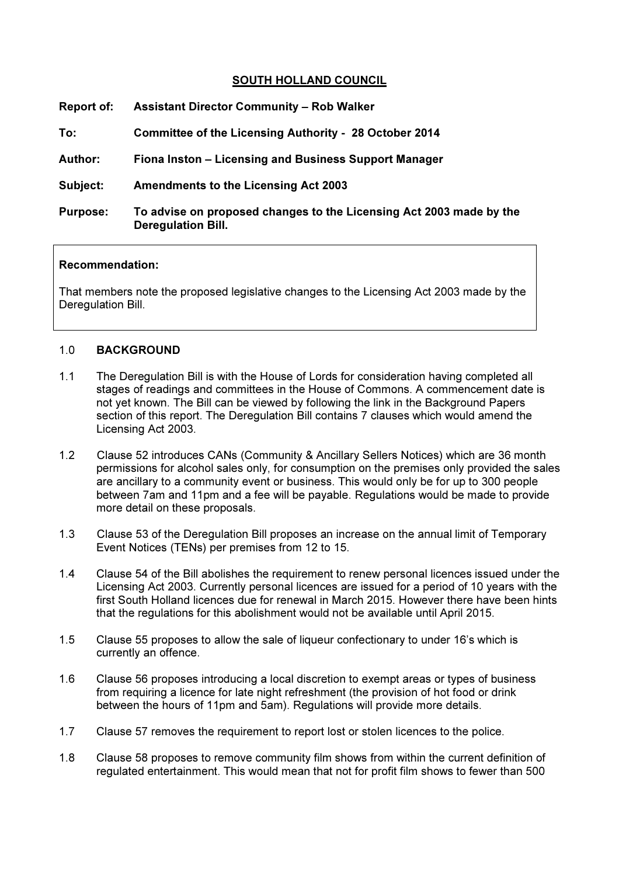## SOUTH HOLLAND COUNCIL

| Report of:      | <b>Assistant Director Community - Rob Walker</b>                                                 |
|-----------------|--------------------------------------------------------------------------------------------------|
| To:             | <b>Committee of the Licensing Authority - 28 October 2014</b>                                    |
| <b>Author:</b>  | Fiona Inston - Licensing and Business Support Manager                                            |
| Subject:        | <b>Amendments to the Licensing Act 2003</b>                                                      |
| <b>Purpose:</b> | To advise on proposed changes to the Licensing Act 2003 made by the<br><b>Deregulation Bill.</b> |

#### Recommendation:

That members note the proposed legislative changes to the Licensing Act 2003 made by the Deregulation Bill.

## 1.0 BACKGROUND

- 1.1 The Deregulation Bill is with the House of Lords for consideration having completed all stages of readings and committees in the House of Commons. A commencement date is not yet known. The Bill can be viewed by following the link in the Background Papers section of this report. The Deregulation Bill contains 7 clauses which would amend the Licensing Act 2003.
- 1.2 Clause 52 introduces CANs (Community & Ancillary Sellers Notices) which are 36 month permissions for alcohol sales only, for consumption on the premises only provided the sales are ancillary to a community event or business. This would only be for up to 300 people between 7am and 11pm and a fee will be payable. Regulations would be made to provide more detail on these proposals.
- 1.3 Clause 53 of the Deregulation Bill proposes an increase on the annual limit of Temporary Event Notices (TENs) per premises from 12 to 15.
- 1.4 Clause 54 of the Bill abolishes the requirement to renew personal licences issued under the Licensing Act 2003. Currently personal licences are issued for a period of 10 years with the first South Holland licences due for renewal in March 2015. However there have been hints that the regulations for this abolishment would not be available until April 2015.
- 1.5 Clause 55 proposes to allow the sale of liqueur confectionary to under 16's which is currently an offence.
- 1.6 Clause 56 proposes introducing a local discretion to exempt areas or types of business from requiring a licence for late night refreshment (the provision of hot food or drink between the hours of 11pm and 5am). Regulations will provide more details.
- 1.7 Clause 57 removes the requirement to report lost or stolen licences to the police.
- 1.8 Clause 58 proposes to remove community film shows from within the current definition of regulated entertainment. This would mean that not for profit film shows to fewer than 500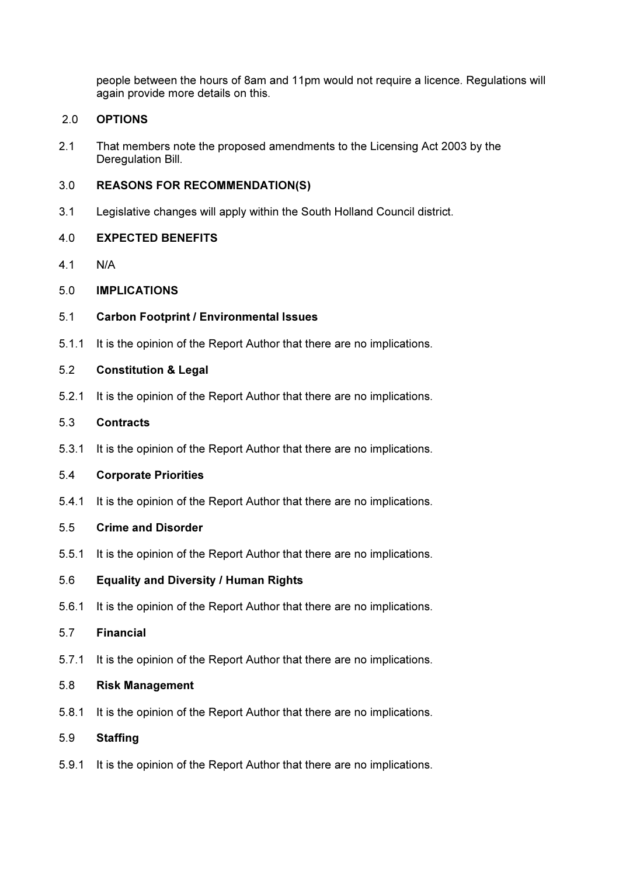people between the hours of 8am and 11pm would not require a licence. Regulations will again provide more details on this.

## 2.0 OPTIONS

2.1 That members note the proposed amendments to the Licensing Act 2003 by the Deregulation Bill.

### 3.0 REASONS FOR RECOMMENDATION(S)

3.1 Legislative changes will apply within the South Holland Council district.

### 4.0 EXPECTED BENEFITS

- 4.1 N/A
- 5.0 IMPLICATIONS
- 5.1 Carbon Footprint / Environmental Issues
- 5.1.1 It is the opinion of the Report Author that there are no implications.

# 5.2 Constitution & Legal

- 5.2.1 It is the opinion of the Report Author that there are no implications.
- 5.3 Contracts
- 5.3.1 It is the opinion of the Report Author that there are no implications.

### 5.4 Corporate Priorities

5.4.1 It is the opinion of the Report Author that there are no implications.

#### 5.5 Crime and Disorder

5.5.1 It is the opinion of the Report Author that there are no implications.

## 5.6 Equality and Diversity / Human Rights

5.6.1 It is the opinion of the Report Author that there are no implications.

## 5.7 Financial

5.7.1 It is the opinion of the Report Author that there are no implications.

#### 5.8 Risk Management

5.8.1 It is the opinion of the Report Author that there are no implications.

## 5.9 Staffing

5.9.1 It is the opinion of the Report Author that there are no implications.